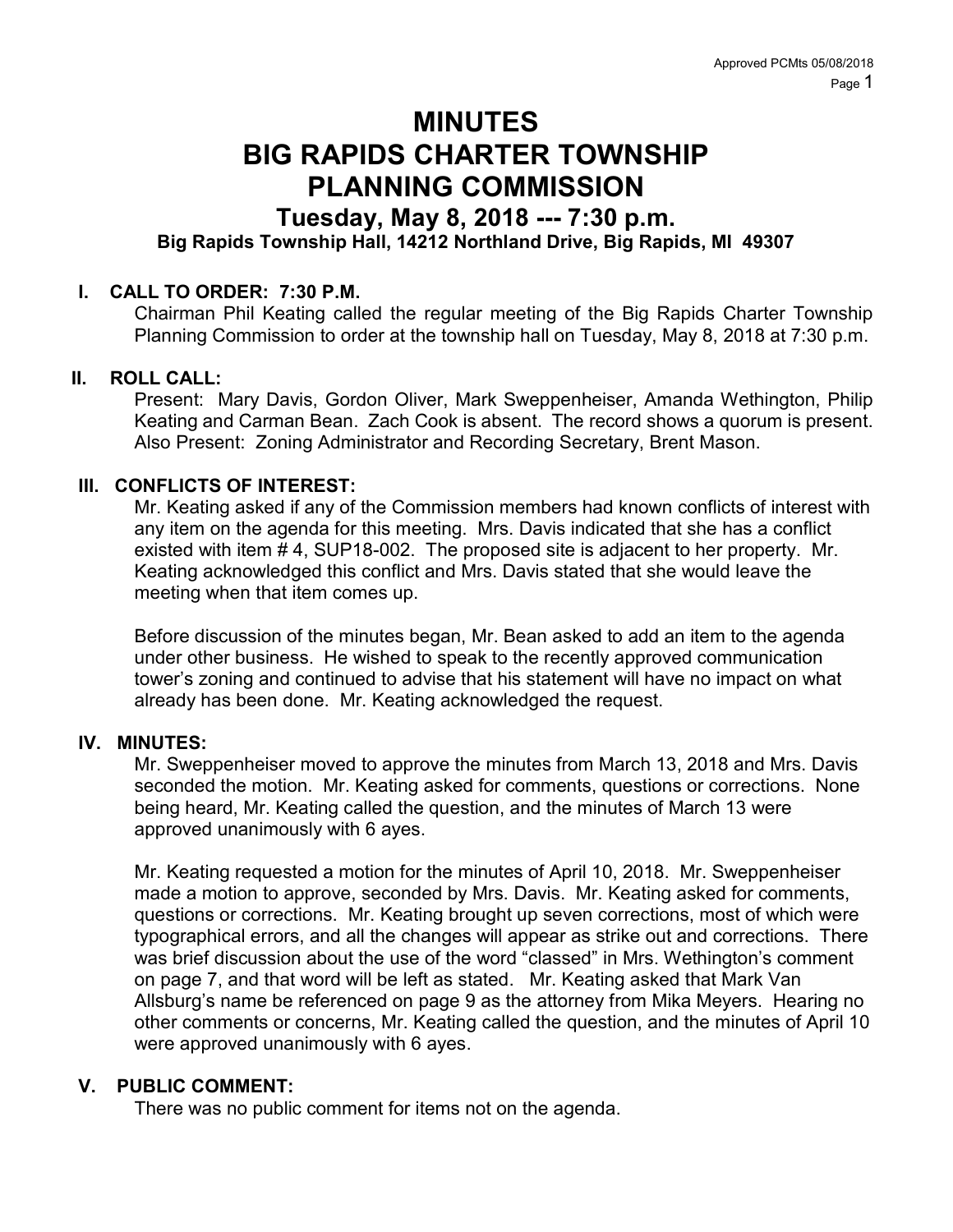# MINUTES BIG RAPIDS CHARTER TOWNSHIP PLANNING COMMISSION

# Tuesday, May 8, 2018 --- 7:30 p.m.

# Big Rapids Township Hall, 14212 Northland Drive, Big Rapids, MI 49307

# I. CALL TO ORDER: 7:30 P.M.

Chairman Phil Keating called the regular meeting of the Big Rapids Charter Township Planning Commission to order at the township hall on Tuesday, May 8, 2018 at 7:30 p.m.

### II. ROLL CALL:

Present: Mary Davis, Gordon Oliver, Mark Sweppenheiser, Amanda Wethington, Philip Keating and Carman Bean. Zach Cook is absent. The record shows a quorum is present. Also Present: Zoning Administrator and Recording Secretary, Brent Mason.

### III. CONFLICTS OF INTEREST:

Mr. Keating asked if any of the Commission members had known conflicts of interest with any item on the agenda for this meeting. Mrs. Davis indicated that she has a conflict existed with item # 4, SUP18-002. The proposed site is adjacent to her property. Mr. Keating acknowledged this conflict and Mrs. Davis stated that she would leave the meeting when that item comes up.

Before discussion of the minutes began, Mr. Bean asked to add an item to the agenda under other business. He wished to speak to the recently approved communication tower's zoning and continued to advise that his statement will have no impact on what already has been done. Mr. Keating acknowledged the request.

#### IV. MINUTES:

Mr. Sweppenheiser moved to approve the minutes from March 13, 2018 and Mrs. Davis seconded the motion. Mr. Keating asked for comments, questions or corrections. None being heard, Mr. Keating called the question, and the minutes of March 13 were approved unanimously with 6 ayes.

Mr. Keating requested a motion for the minutes of April 10, 2018. Mr. Sweppenheiser made a motion to approve, seconded by Mrs. Davis. Mr. Keating asked for comments, questions or corrections. Mr. Keating brought up seven corrections, most of which were typographical errors, and all the changes will appear as strike out and corrections. There was brief discussion about the use of the word "classed" in Mrs. Wethington's comment on page 7, and that word will be left as stated. Mr. Keating asked that Mark Van Allsburg's name be referenced on page 9 as the attorney from Mika Meyers. Hearing no other comments or concerns, Mr. Keating called the question, and the minutes of April 10 were approved unanimously with 6 ayes.

# V. PUBLIC COMMENT:

There was no public comment for items not on the agenda.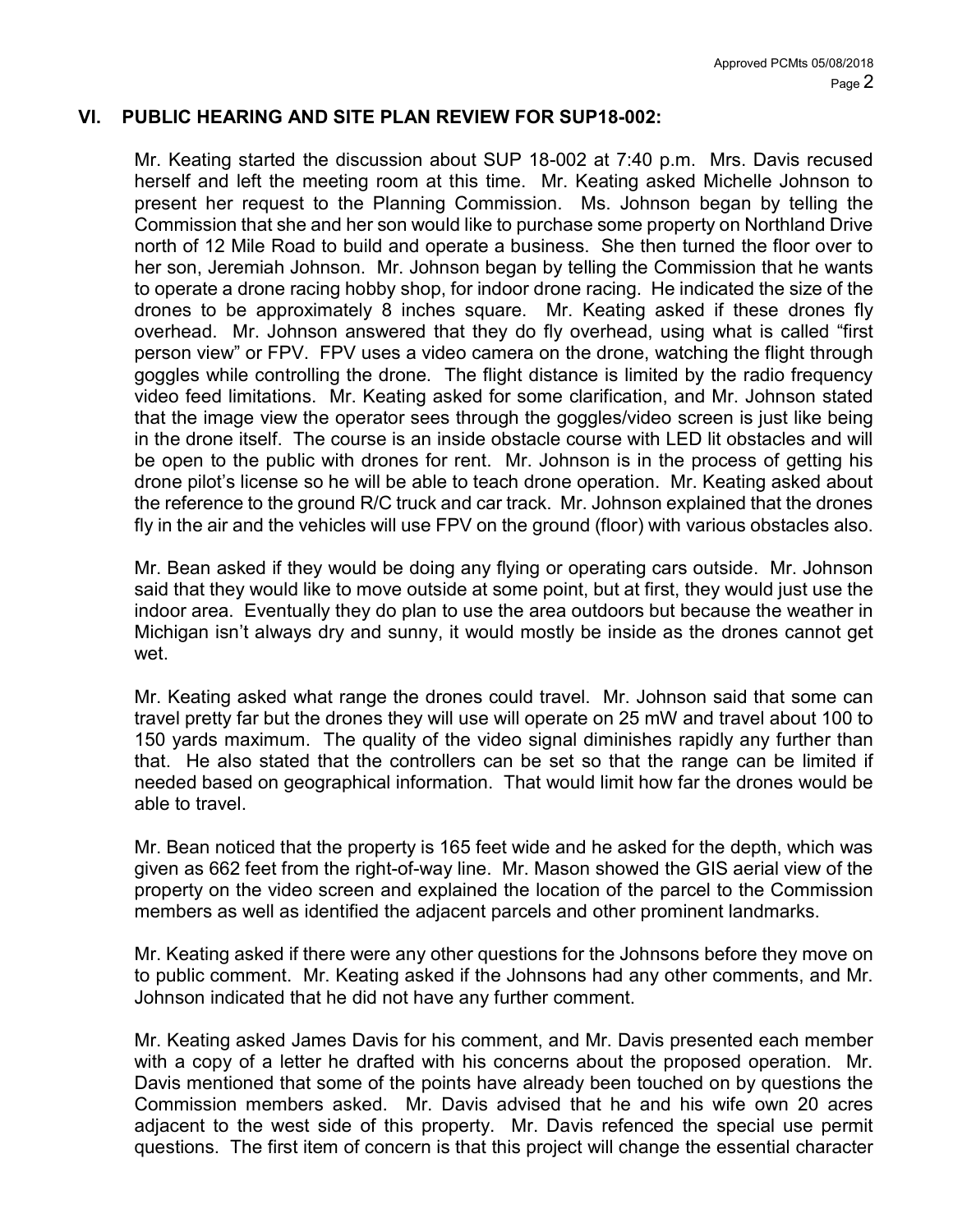#### VI. PUBLIC HEARING AND SITE PLAN REVIEW FOR SUP18-002:

Mr. Keating started the discussion about SUP 18-002 at 7:40 p.m. Mrs. Davis recused herself and left the meeting room at this time. Mr. Keating asked Michelle Johnson to present her request to the Planning Commission. Ms. Johnson began by telling the Commission that she and her son would like to purchase some property on Northland Drive north of 12 Mile Road to build and operate a business. She then turned the floor over to her son, Jeremiah Johnson. Mr. Johnson began by telling the Commission that he wants to operate a drone racing hobby shop, for indoor drone racing. He indicated the size of the drones to be approximately 8 inches square. Mr. Keating asked if these drones fly overhead. Mr. Johnson answered that they do fly overhead, using what is called "first person view" or FPV. FPV uses a video camera on the drone, watching the flight through goggles while controlling the drone. The flight distance is limited by the radio frequency video feed limitations. Mr. Keating asked for some clarification, and Mr. Johnson stated that the image view the operator sees through the goggles/video screen is just like being in the drone itself. The course is an inside obstacle course with LED lit obstacles and will be open to the public with drones for rent. Mr. Johnson is in the process of getting his drone pilot's license so he will be able to teach drone operation. Mr. Keating asked about the reference to the ground R/C truck and car track. Mr. Johnson explained that the drones fly in the air and the vehicles will use FPV on the ground (floor) with various obstacles also.

Mr. Bean asked if they would be doing any flying or operating cars outside. Mr. Johnson said that they would like to move outside at some point, but at first, they would just use the indoor area. Eventually they do plan to use the area outdoors but because the weather in Michigan isn't always dry and sunny, it would mostly be inside as the drones cannot get wet.

Mr. Keating asked what range the drones could travel. Mr. Johnson said that some can travel pretty far but the drones they will use will operate on 25 mW and travel about 100 to 150 yards maximum. The quality of the video signal diminishes rapidly any further than that. He also stated that the controllers can be set so that the range can be limited if needed based on geographical information. That would limit how far the drones would be able to travel.

Mr. Bean noticed that the property is 165 feet wide and he asked for the depth, which was given as 662 feet from the right-of-way line. Mr. Mason showed the GIS aerial view of the property on the video screen and explained the location of the parcel to the Commission members as well as identified the adjacent parcels and other prominent landmarks.

Mr. Keating asked if there were any other questions for the Johnsons before they move on to public comment. Mr. Keating asked if the Johnsons had any other comments, and Mr. Johnson indicated that he did not have any further comment.

Mr. Keating asked James Davis for his comment, and Mr. Davis presented each member with a copy of a letter he drafted with his concerns about the proposed operation. Mr. Davis mentioned that some of the points have already been touched on by questions the Commission members asked. Mr. Davis advised that he and his wife own 20 acres adjacent to the west side of this property. Mr. Davis refenced the special use permit questions. The first item of concern is that this project will change the essential character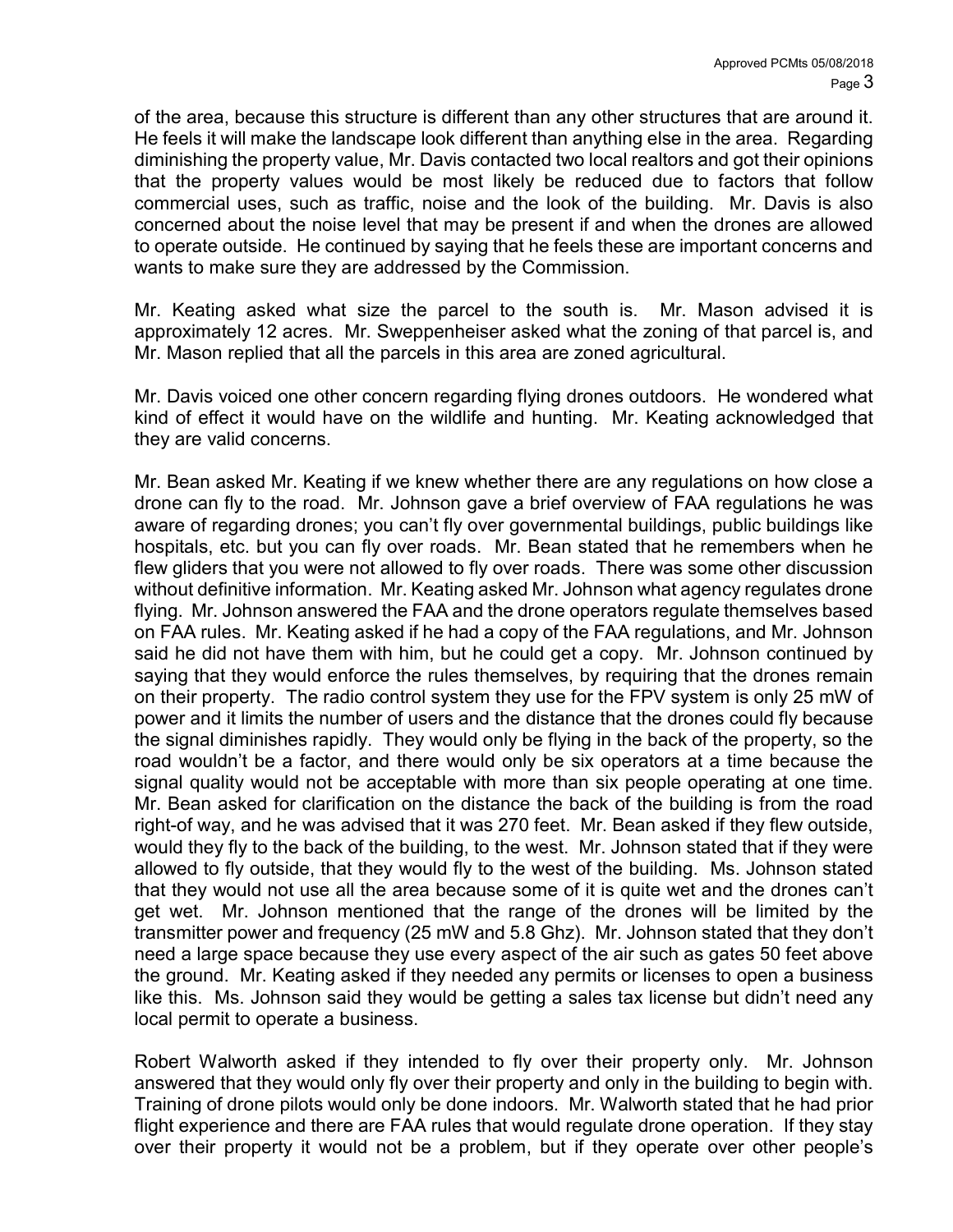of the area, because this structure is different than any other structures that are around it. He feels it will make the landscape look different than anything else in the area. Regarding diminishing the property value, Mr. Davis contacted two local realtors and got their opinions that the property values would be most likely be reduced due to factors that follow commercial uses, such as traffic, noise and the look of the building. Mr. Davis is also concerned about the noise level that may be present if and when the drones are allowed to operate outside. He continued by saying that he feels these are important concerns and wants to make sure they are addressed by the Commission.

Mr. Keating asked what size the parcel to the south is. Mr. Mason advised it is approximately 12 acres. Mr. Sweppenheiser asked what the zoning of that parcel is, and Mr. Mason replied that all the parcels in this area are zoned agricultural.

Mr. Davis voiced one other concern regarding flying drones outdoors. He wondered what kind of effect it would have on the wildlife and hunting. Mr. Keating acknowledged that they are valid concerns.

Mr. Bean asked Mr. Keating if we knew whether there are any regulations on how close a drone can fly to the road. Mr. Johnson gave a brief overview of FAA regulations he was aware of regarding drones; you can't fly over governmental buildings, public buildings like hospitals, etc. but you can fly over roads. Mr. Bean stated that he remembers when he flew gliders that you were not allowed to fly over roads. There was some other discussion without definitive information. Mr. Keating asked Mr. Johnson what agency regulates drone flying. Mr. Johnson answered the FAA and the drone operators regulate themselves based on FAA rules. Mr. Keating asked if he had a copy of the FAA regulations, and Mr. Johnson said he did not have them with him, but he could get a copy. Mr. Johnson continued by saying that they would enforce the rules themselves, by requiring that the drones remain on their property. The radio control system they use for the FPV system is only 25 mW of power and it limits the number of users and the distance that the drones could fly because the signal diminishes rapidly. They would only be flying in the back of the property, so the road wouldn't be a factor, and there would only be six operators at a time because the signal quality would not be acceptable with more than six people operating at one time. Mr. Bean asked for clarification on the distance the back of the building is from the road right-of way, and he was advised that it was 270 feet. Mr. Bean asked if they flew outside, would they fly to the back of the building, to the west. Mr. Johnson stated that if they were allowed to fly outside, that they would fly to the west of the building. Ms. Johnson stated that they would not use all the area because some of it is quite wet and the drones can't get wet. Mr. Johnson mentioned that the range of the drones will be limited by the transmitter power and frequency (25 mW and 5.8 Ghz). Mr. Johnson stated that they don't need a large space because they use every aspect of the air such as gates 50 feet above the ground. Mr. Keating asked if they needed any permits or licenses to open a business like this. Ms. Johnson said they would be getting a sales tax license but didn't need any local permit to operate a business.

Robert Walworth asked if they intended to fly over their property only. Mr. Johnson answered that they would only fly over their property and only in the building to begin with. Training of drone pilots would only be done indoors. Mr. Walworth stated that he had prior flight experience and there are FAA rules that would regulate drone operation. If they stay over their property it would not be a problem, but if they operate over other people's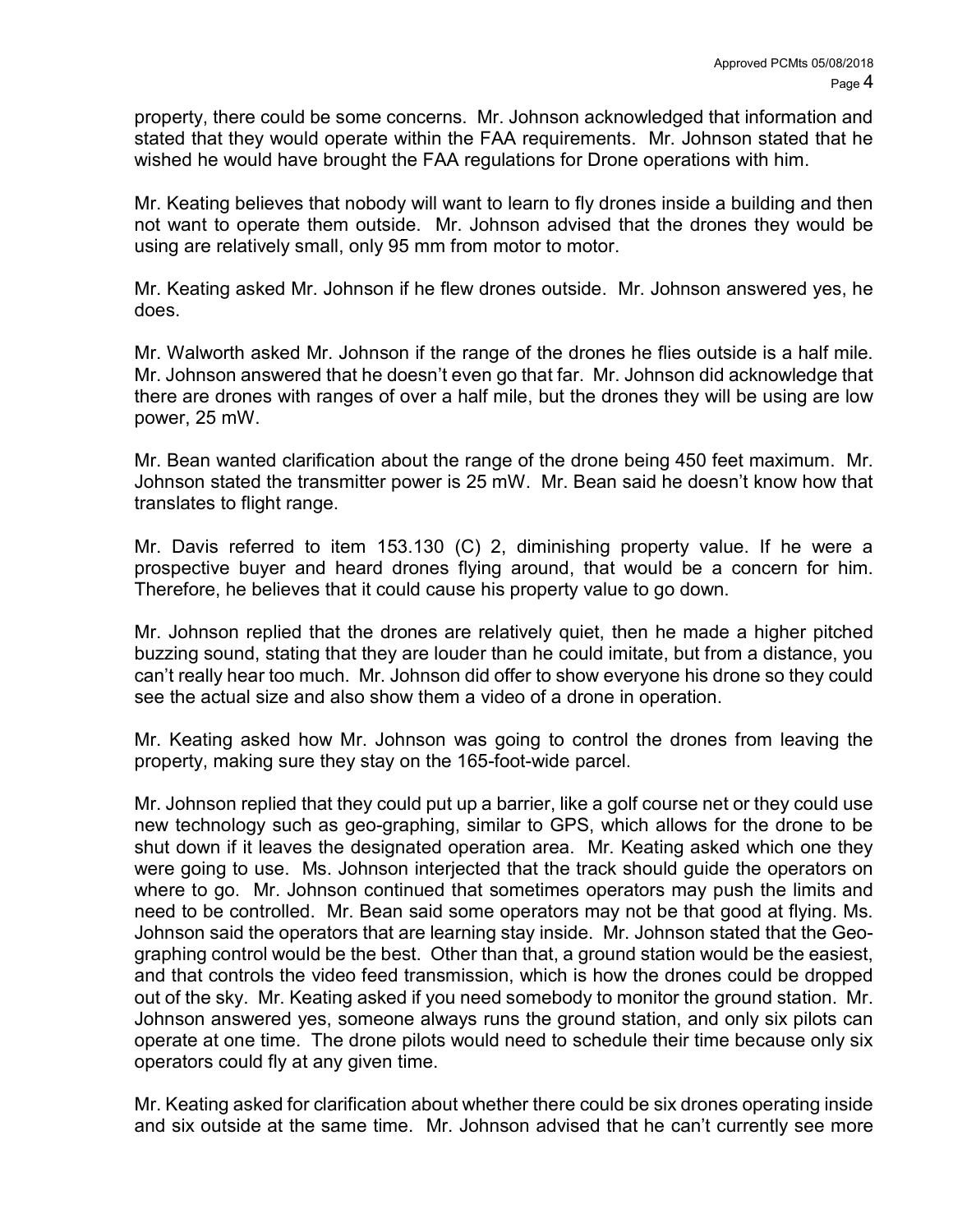property, there could be some concerns. Mr. Johnson acknowledged that information and stated that they would operate within the FAA requirements. Mr. Johnson stated that he wished he would have brought the FAA regulations for Drone operations with him.

Mr. Keating believes that nobody will want to learn to fly drones inside a building and then not want to operate them outside. Mr. Johnson advised that the drones they would be using are relatively small, only 95 mm from motor to motor.

Mr. Keating asked Mr. Johnson if he flew drones outside. Mr. Johnson answered yes, he does.

Mr. Walworth asked Mr. Johnson if the range of the drones he flies outside is a half mile. Mr. Johnson answered that he doesn't even go that far. Mr. Johnson did acknowledge that there are drones with ranges of over a half mile, but the drones they will be using are low power, 25 mW.

Mr. Bean wanted clarification about the range of the drone being 450 feet maximum. Mr. Johnson stated the transmitter power is 25 mW. Mr. Bean said he doesn't know how that translates to flight range.

Mr. Davis referred to item 153.130 (C) 2, diminishing property value. If he were a prospective buyer and heard drones flying around, that would be a concern for him. Therefore, he believes that it could cause his property value to go down.

Mr. Johnson replied that the drones are relatively quiet, then he made a higher pitched buzzing sound, stating that they are louder than he could imitate, but from a distance, you can't really hear too much. Mr. Johnson did offer to show everyone his drone so they could see the actual size and also show them a video of a drone in operation.

Mr. Keating asked how Mr. Johnson was going to control the drones from leaving the property, making sure they stay on the 165-foot-wide parcel.

Mr. Johnson replied that they could put up a barrier, like a golf course net or they could use new technology such as geo-graphing, similar to GPS, which allows for the drone to be shut down if it leaves the designated operation area. Mr. Keating asked which one they were going to use. Ms. Johnson interjected that the track should guide the operators on where to go. Mr. Johnson continued that sometimes operators may push the limits and need to be controlled. Mr. Bean said some operators may not be that good at flying. Ms. Johnson said the operators that are learning stay inside. Mr. Johnson stated that the Geographing control would be the best. Other than that, a ground station would be the easiest, and that controls the video feed transmission, which is how the drones could be dropped out of the sky. Mr. Keating asked if you need somebody to monitor the ground station. Mr. Johnson answered yes, someone always runs the ground station, and only six pilots can operate at one time. The drone pilots would need to schedule their time because only six operators could fly at any given time.

Mr. Keating asked for clarification about whether there could be six drones operating inside and six outside at the same time. Mr. Johnson advised that he can't currently see more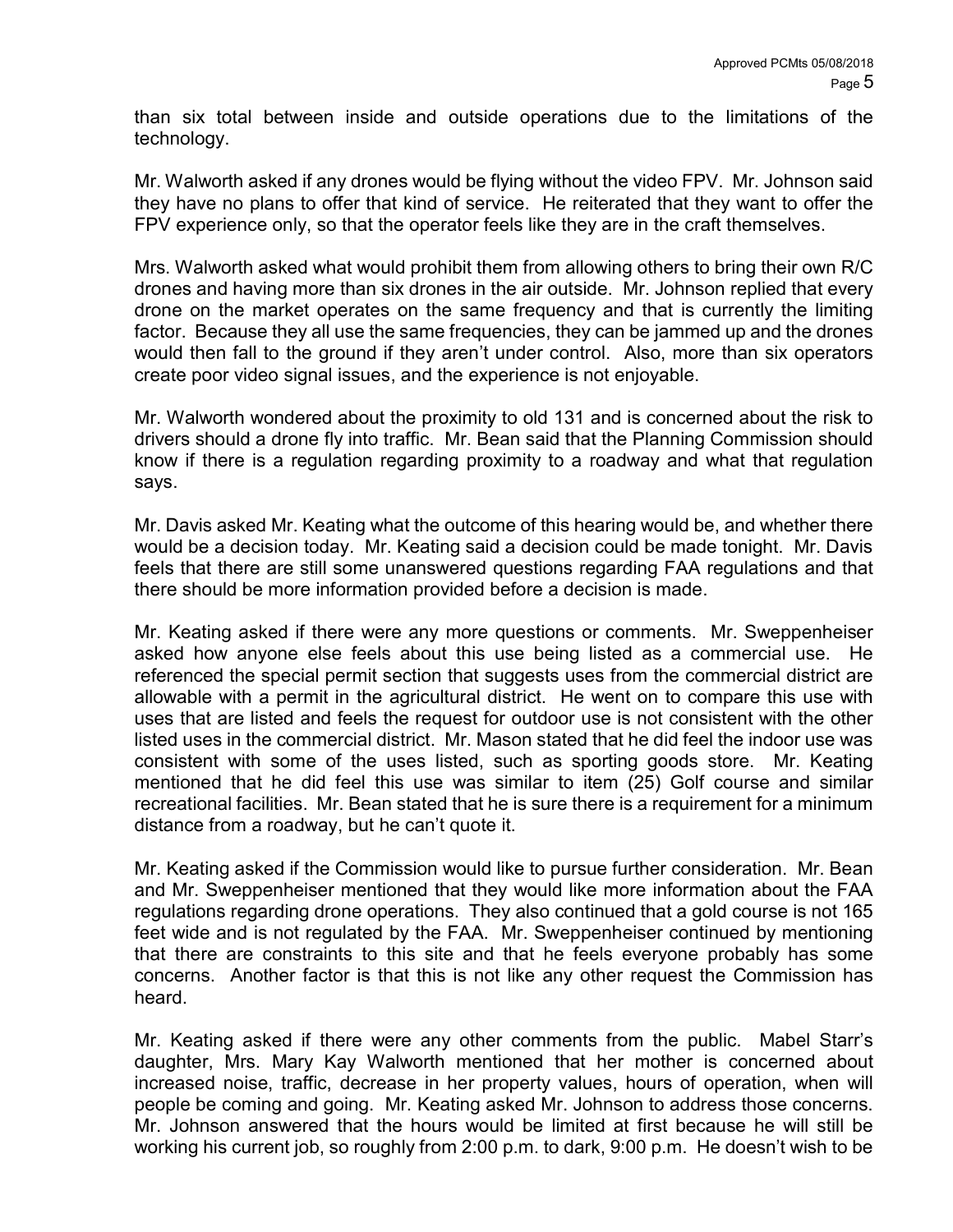than six total between inside and outside operations due to the limitations of the technology.

Mr. Walworth asked if any drones would be flying without the video FPV. Mr. Johnson said they have no plans to offer that kind of service. He reiterated that they want to offer the FPV experience only, so that the operator feels like they are in the craft themselves.

Mrs. Walworth asked what would prohibit them from allowing others to bring their own R/C drones and having more than six drones in the air outside. Mr. Johnson replied that every drone on the market operates on the same frequency and that is currently the limiting factor. Because they all use the same frequencies, they can be jammed up and the drones would then fall to the ground if they aren't under control. Also, more than six operators create poor video signal issues, and the experience is not enjoyable.

Mr. Walworth wondered about the proximity to old 131 and is concerned about the risk to drivers should a drone fly into traffic. Mr. Bean said that the Planning Commission should know if there is a regulation regarding proximity to a roadway and what that regulation says.

Mr. Davis asked Mr. Keating what the outcome of this hearing would be, and whether there would be a decision today. Mr. Keating said a decision could be made tonight. Mr. Davis feels that there are still some unanswered questions regarding FAA regulations and that there should be more information provided before a decision is made.

Mr. Keating asked if there were any more questions or comments. Mr. Sweppenheiser asked how anyone else feels about this use being listed as a commercial use. He referenced the special permit section that suggests uses from the commercial district are allowable with a permit in the agricultural district. He went on to compare this use with uses that are listed and feels the request for outdoor use is not consistent with the other listed uses in the commercial district. Mr. Mason stated that he did feel the indoor use was consistent with some of the uses listed, such as sporting goods store. Mr. Keating mentioned that he did feel this use was similar to item (25) Golf course and similar recreational facilities. Mr. Bean stated that he is sure there is a requirement for a minimum distance from a roadway, but he can't quote it.

Mr. Keating asked if the Commission would like to pursue further consideration. Mr. Bean and Mr. Sweppenheiser mentioned that they would like more information about the FAA regulations regarding drone operations. They also continued that a gold course is not 165 feet wide and is not regulated by the FAA. Mr. Sweppenheiser continued by mentioning that there are constraints to this site and that he feels everyone probably has some concerns. Another factor is that this is not like any other request the Commission has heard.

Mr. Keating asked if there were any other comments from the public. Mabel Starr's daughter, Mrs. Mary Kay Walworth mentioned that her mother is concerned about increased noise, traffic, decrease in her property values, hours of operation, when will people be coming and going. Mr. Keating asked Mr. Johnson to address those concerns. Mr. Johnson answered that the hours would be limited at first because he will still be working his current job, so roughly from 2:00 p.m. to dark, 9:00 p.m. He doesn't wish to be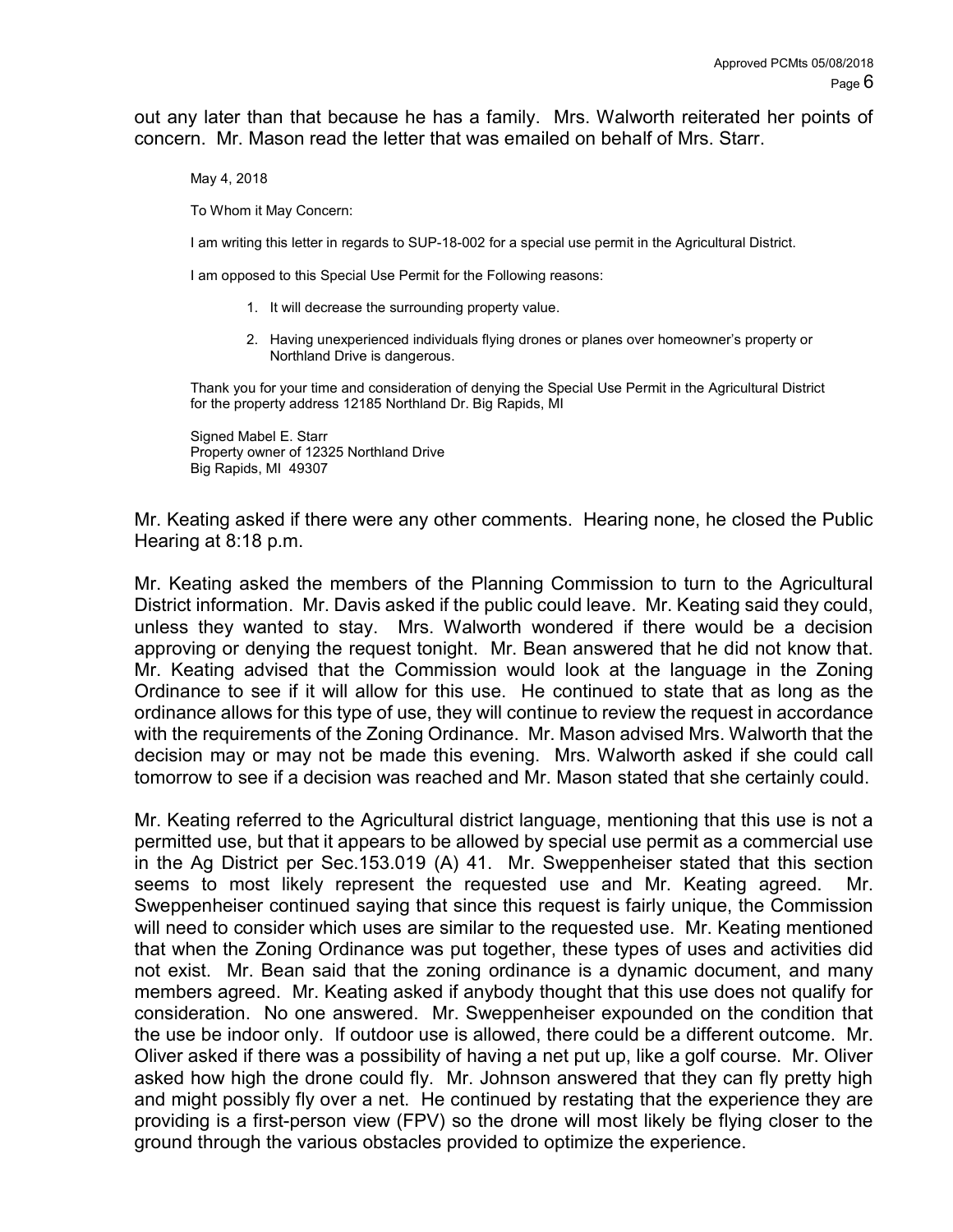out any later than that because he has a family. Mrs. Walworth reiterated her points of concern. Mr. Mason read the letter that was emailed on behalf of Mrs. Starr.

May 4, 2018

To Whom it May Concern:

I am writing this letter in regards to SUP-18-002 for a special use permit in the Agricultural District.

I am opposed to this Special Use Permit for the Following reasons:

- 1. It will decrease the surrounding property value.
- 2. Having unexperienced individuals flying drones or planes over homeowner's property or Northland Drive is dangerous.

Thank you for your time and consideration of denying the Special Use Permit in the Agricultural District for the property address 12185 Northland Dr. Big Rapids, MI

Signed Mabel E. Starr Property owner of 12325 Northland Drive Big Rapids, MI 49307

Mr. Keating asked if there were any other comments. Hearing none, he closed the Public Hearing at 8:18 p.m.

Mr. Keating asked the members of the Planning Commission to turn to the Agricultural District information. Mr. Davis asked if the public could leave. Mr. Keating said they could, unless they wanted to stay. Mrs. Walworth wondered if there would be a decision approving or denying the request tonight. Mr. Bean answered that he did not know that. Mr. Keating advised that the Commission would look at the language in the Zoning Ordinance to see if it will allow for this use. He continued to state that as long as the ordinance allows for this type of use, they will continue to review the request in accordance with the requirements of the Zoning Ordinance. Mr. Mason advised Mrs. Walworth that the decision may or may not be made this evening. Mrs. Walworth asked if she could call tomorrow to see if a decision was reached and Mr. Mason stated that she certainly could.

Mr. Keating referred to the Agricultural district language, mentioning that this use is not a permitted use, but that it appears to be allowed by special use permit as a commercial use in the Ag District per Sec.153.019 (A) 41. Mr. Sweppenheiser stated that this section seems to most likely represent the requested use and Mr. Keating agreed. Mr. Sweppenheiser continued saying that since this request is fairly unique, the Commission will need to consider which uses are similar to the requested use. Mr. Keating mentioned that when the Zoning Ordinance was put together, these types of uses and activities did not exist. Mr. Bean said that the zoning ordinance is a dynamic document, and many members agreed. Mr. Keating asked if anybody thought that this use does not qualify for consideration. No one answered. Mr. Sweppenheiser expounded on the condition that the use be indoor only. If outdoor use is allowed, there could be a different outcome. Mr. Oliver asked if there was a possibility of having a net put up, like a golf course. Mr. Oliver asked how high the drone could fly. Mr. Johnson answered that they can fly pretty high and might possibly fly over a net. He continued by restating that the experience they are providing is a first-person view (FPV) so the drone will most likely be flying closer to the ground through the various obstacles provided to optimize the experience.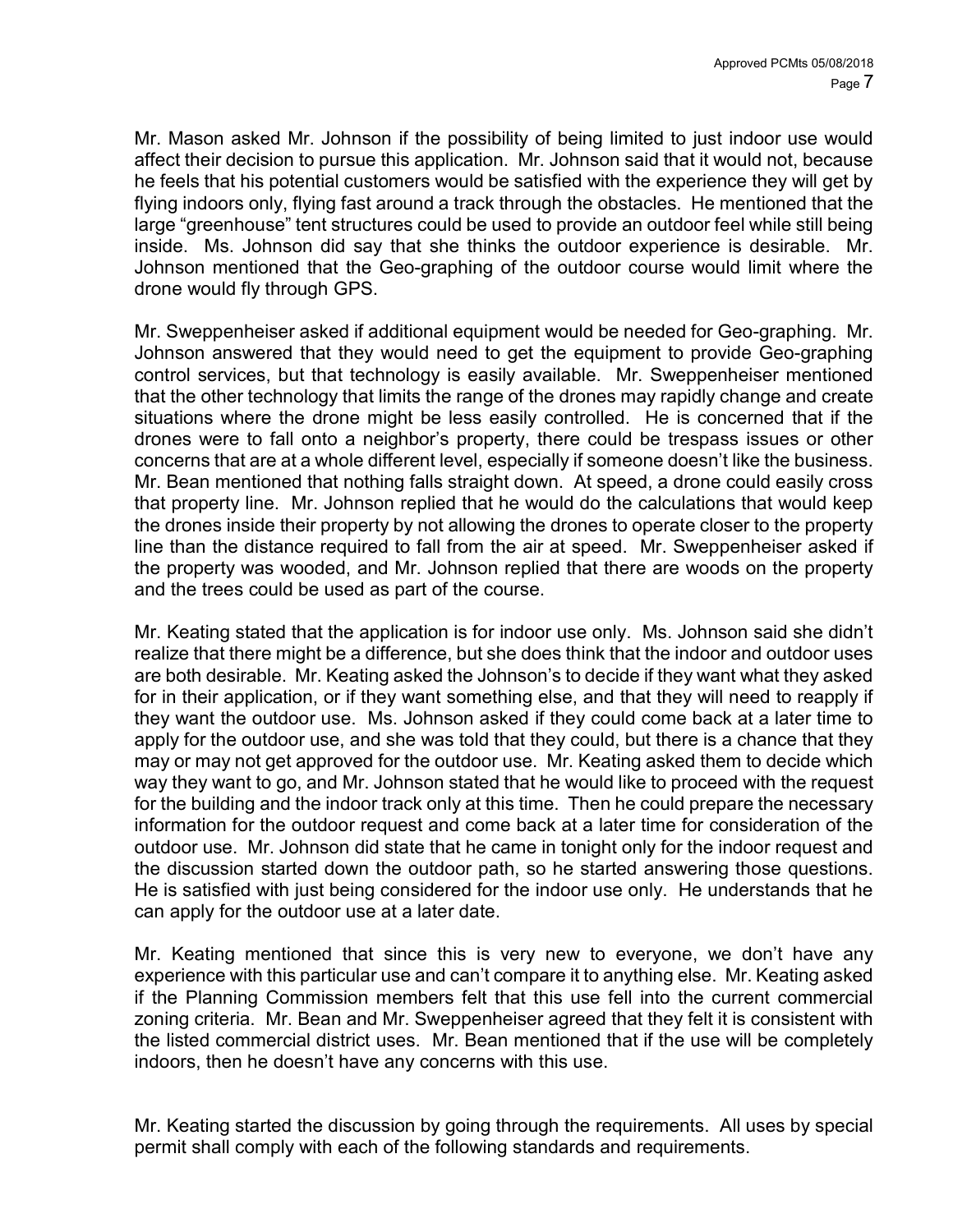Mr. Mason asked Mr. Johnson if the possibility of being limited to just indoor use would affect their decision to pursue this application. Mr. Johnson said that it would not, because he feels that his potential customers would be satisfied with the experience they will get by flying indoors only, flying fast around a track through the obstacles. He mentioned that the large "greenhouse" tent structures could be used to provide an outdoor feel while still being inside. Ms. Johnson did say that she thinks the outdoor experience is desirable. Mr. Johnson mentioned that the Geo-graphing of the outdoor course would limit where the drone would fly through GPS.

Mr. Sweppenheiser asked if additional equipment would be needed for Geo-graphing. Mr. Johnson answered that they would need to get the equipment to provide Geo-graphing control services, but that technology is easily available. Mr. Sweppenheiser mentioned that the other technology that limits the range of the drones may rapidly change and create situations where the drone might be less easily controlled. He is concerned that if the drones were to fall onto a neighbor's property, there could be trespass issues or other concerns that are at a whole different level, especially if someone doesn't like the business. Mr. Bean mentioned that nothing falls straight down. At speed, a drone could easily cross that property line. Mr. Johnson replied that he would do the calculations that would keep the drones inside their property by not allowing the drones to operate closer to the property line than the distance required to fall from the air at speed. Mr. Sweppenheiser asked if the property was wooded, and Mr. Johnson replied that there are woods on the property and the trees could be used as part of the course.

Mr. Keating stated that the application is for indoor use only. Ms. Johnson said she didn't realize that there might be a difference, but she does think that the indoor and outdoor uses are both desirable. Mr. Keating asked the Johnson's to decide if they want what they asked for in their application, or if they want something else, and that they will need to reapply if they want the outdoor use. Ms. Johnson asked if they could come back at a later time to apply for the outdoor use, and she was told that they could, but there is a chance that they may or may not get approved for the outdoor use. Mr. Keating asked them to decide which way they want to go, and Mr. Johnson stated that he would like to proceed with the request for the building and the indoor track only at this time. Then he could prepare the necessary information for the outdoor request and come back at a later time for consideration of the outdoor use. Mr. Johnson did state that he came in tonight only for the indoor request and the discussion started down the outdoor path, so he started answering those questions. He is satisfied with just being considered for the indoor use only. He understands that he can apply for the outdoor use at a later date.

Mr. Keating mentioned that since this is very new to everyone, we don't have any experience with this particular use and can't compare it to anything else. Mr. Keating asked if the Planning Commission members felt that this use fell into the current commercial zoning criteria. Mr. Bean and Mr. Sweppenheiser agreed that they felt it is consistent with the listed commercial district uses. Mr. Bean mentioned that if the use will be completely indoors, then he doesn't have any concerns with this use.

Mr. Keating started the discussion by going through the requirements. All uses by special permit shall comply with each of the following standards and requirements.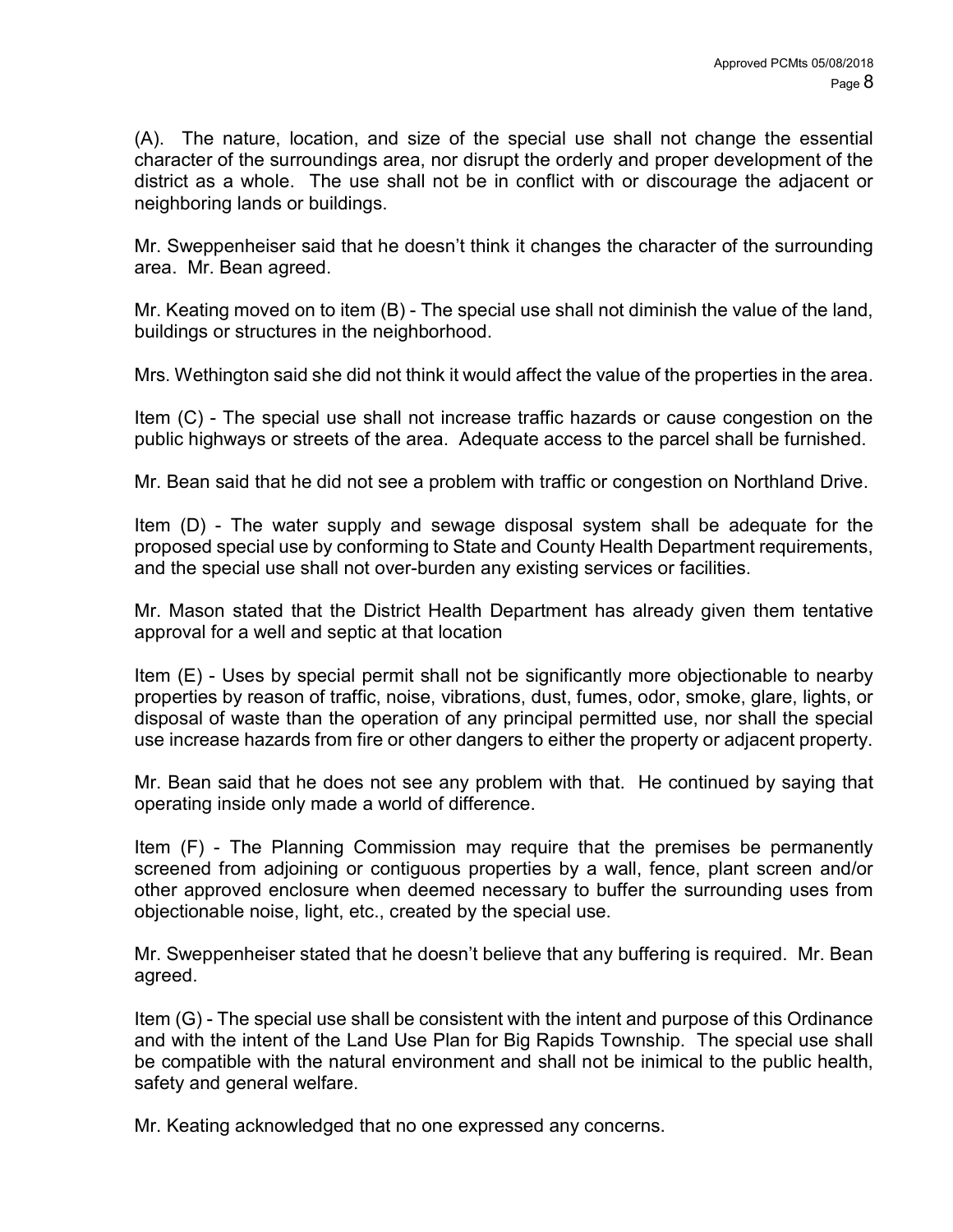(A). The nature, location, and size of the special use shall not change the essential character of the surroundings area, nor disrupt the orderly and proper development of the district as a whole. The use shall not be in conflict with or discourage the adjacent or neighboring lands or buildings.

Mr. Sweppenheiser said that he doesn't think it changes the character of the surrounding area. Mr. Bean agreed.

Mr. Keating moved on to item (B) - The special use shall not diminish the value of the land, buildings or structures in the neighborhood.

Mrs. Wethington said she did not think it would affect the value of the properties in the area.

Item (C) - The special use shall not increase traffic hazards or cause congestion on the public highways or streets of the area. Adequate access to the parcel shall be furnished.

Mr. Bean said that he did not see a problem with traffic or congestion on Northland Drive.

Item (D) - The water supply and sewage disposal system shall be adequate for the proposed special use by conforming to State and County Health Department requirements, and the special use shall not over-burden any existing services or facilities.

Mr. Mason stated that the District Health Department has already given them tentative approval for a well and septic at that location

Item (E) - Uses by special permit shall not be significantly more objectionable to nearby properties by reason of traffic, noise, vibrations, dust, fumes, odor, smoke, glare, lights, or disposal of waste than the operation of any principal permitted use, nor shall the special use increase hazards from fire or other dangers to either the property or adjacent property.

Mr. Bean said that he does not see any problem with that. He continued by saying that operating inside only made a world of difference.

Item (F) - The Planning Commission may require that the premises be permanently screened from adjoining or contiguous properties by a wall, fence, plant screen and/or other approved enclosure when deemed necessary to buffer the surrounding uses from objectionable noise, light, etc., created by the special use.

Mr. Sweppenheiser stated that he doesn't believe that any buffering is required. Mr. Bean agreed.

Item (G) - The special use shall be consistent with the intent and purpose of this Ordinance and with the intent of the Land Use Plan for Big Rapids Township. The special use shall be compatible with the natural environment and shall not be inimical to the public health, safety and general welfare.

Mr. Keating acknowledged that no one expressed any concerns.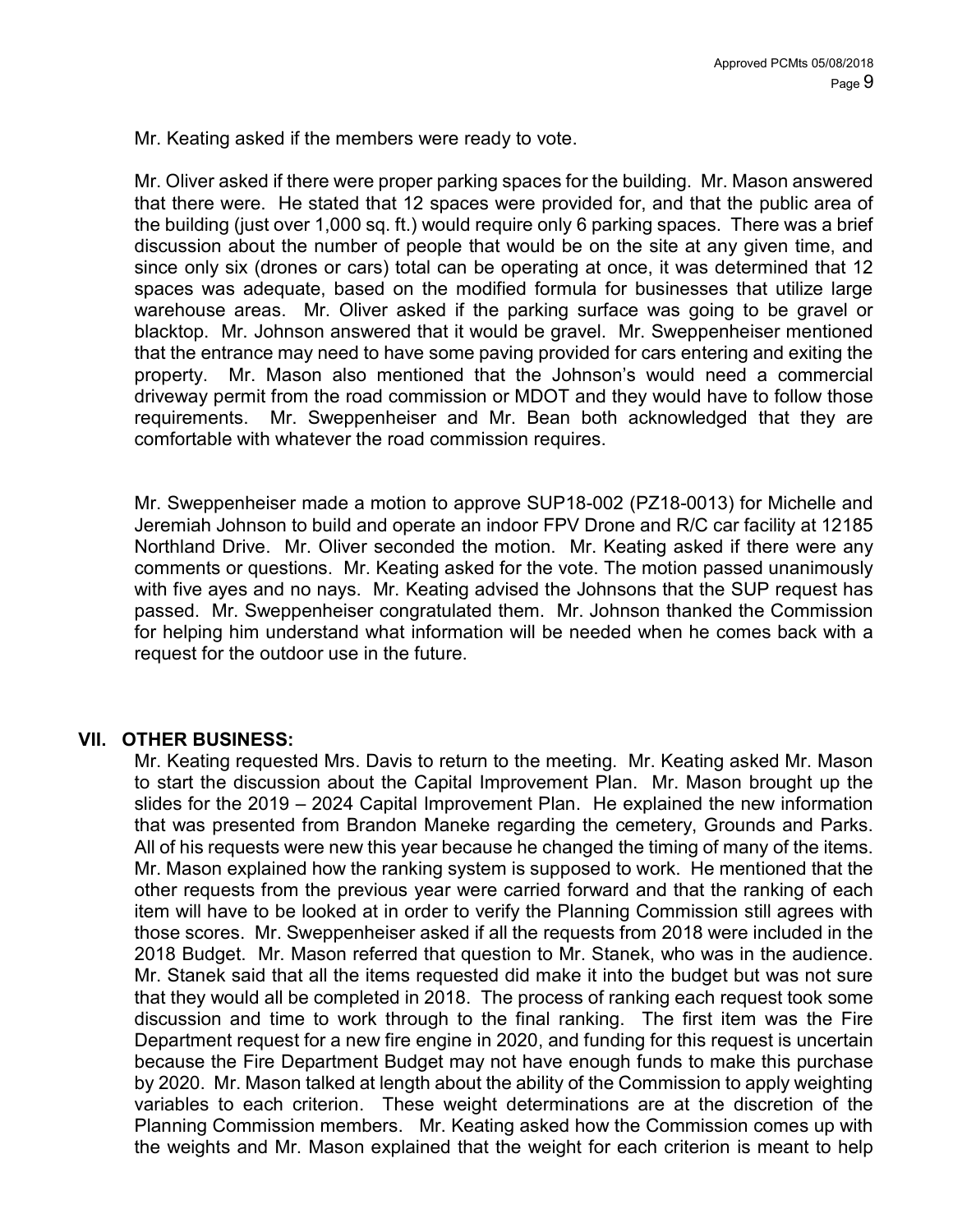Mr. Keating asked if the members were ready to vote.

Mr. Oliver asked if there were proper parking spaces for the building. Mr. Mason answered that there were. He stated that 12 spaces were provided for, and that the public area of the building (just over 1,000 sq. ft.) would require only 6 parking spaces. There was a brief discussion about the number of people that would be on the site at any given time, and since only six (drones or cars) total can be operating at once, it was determined that 12 spaces was adequate, based on the modified formula for businesses that utilize large warehouse areas. Mr. Oliver asked if the parking surface was going to be gravel or blacktop. Mr. Johnson answered that it would be gravel. Mr. Sweppenheiser mentioned that the entrance may need to have some paving provided for cars entering and exiting the property. Mr. Mason also mentioned that the Johnson's would need a commercial driveway permit from the road commission or MDOT and they would have to follow those requirements. Mr. Sweppenheiser and Mr. Bean both acknowledged that they are comfortable with whatever the road commission requires.

Mr. Sweppenheiser made a motion to approve SUP18-002 (PZ18-0013) for Michelle and Jeremiah Johnson to build and operate an indoor FPV Drone and R/C car facility at 12185 Northland Drive. Mr. Oliver seconded the motion. Mr. Keating asked if there were any comments or questions. Mr. Keating asked for the vote. The motion passed unanimously with five ayes and no nays. Mr. Keating advised the Johnsons that the SUP request has passed. Mr. Sweppenheiser congratulated them. Mr. Johnson thanked the Commission for helping him understand what information will be needed when he comes back with a request for the outdoor use in the future.

#### VII. OTHER BUSINESS:

Mr. Keating requested Mrs. Davis to return to the meeting. Mr. Keating asked Mr. Mason to start the discussion about the Capital Improvement Plan. Mr. Mason brought up the slides for the 2019 – 2024 Capital Improvement Plan. He explained the new information that was presented from Brandon Maneke regarding the cemetery, Grounds and Parks. All of his requests were new this year because he changed the timing of many of the items. Mr. Mason explained how the ranking system is supposed to work. He mentioned that the other requests from the previous year were carried forward and that the ranking of each item will have to be looked at in order to verify the Planning Commission still agrees with those scores. Mr. Sweppenheiser asked if all the requests from 2018 were included in the 2018 Budget. Mr. Mason referred that question to Mr. Stanek, who was in the audience. Mr. Stanek said that all the items requested did make it into the budget but was not sure that they would all be completed in 2018. The process of ranking each request took some discussion and time to work through to the final ranking. The first item was the Fire Department request for a new fire engine in 2020, and funding for this request is uncertain because the Fire Department Budget may not have enough funds to make this purchase by 2020. Mr. Mason talked at length about the ability of the Commission to apply weighting variables to each criterion. These weight determinations are at the discretion of the Planning Commission members. Mr. Keating asked how the Commission comes up with the weights and Mr. Mason explained that the weight for each criterion is meant to help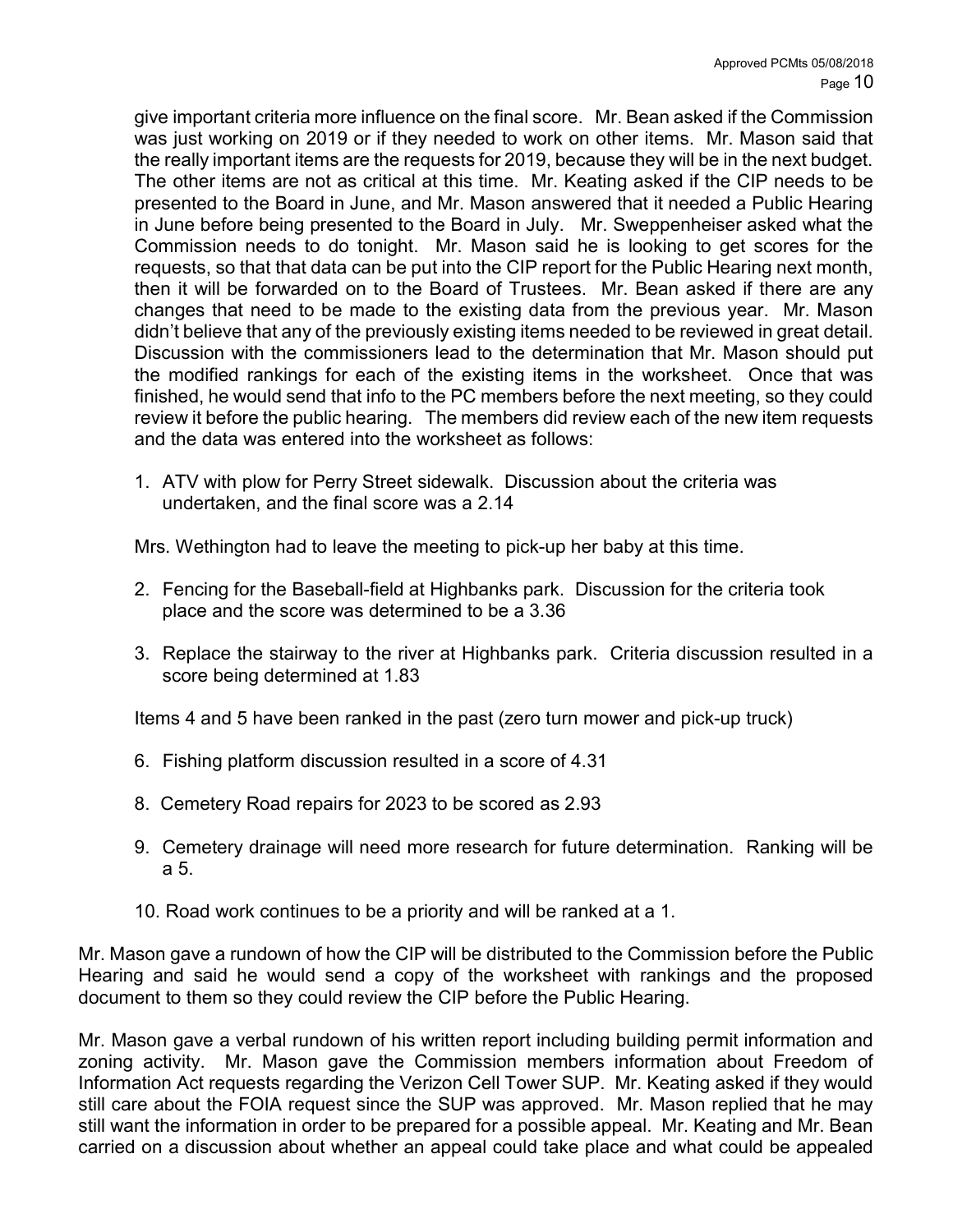give important criteria more influence on the final score. Mr. Bean asked if the Commission was just working on 2019 or if they needed to work on other items. Mr. Mason said that the really important items are the requests for 2019, because they will be in the next budget. The other items are not as critical at this time. Mr. Keating asked if the CIP needs to be presented to the Board in June, and Mr. Mason answered that it needed a Public Hearing in June before being presented to the Board in July. Mr. Sweppenheiser asked what the Commission needs to do tonight. Mr. Mason said he is looking to get scores for the requests, so that that data can be put into the CIP report for the Public Hearing next month, then it will be forwarded on to the Board of Trustees. Mr. Bean asked if there are any changes that need to be made to the existing data from the previous year. Mr. Mason didn't believe that any of the previously existing items needed to be reviewed in great detail. Discussion with the commissioners lead to the determination that Mr. Mason should put the modified rankings for each of the existing items in the worksheet. Once that was finished, he would send that info to the PC members before the next meeting, so they could review it before the public hearing. The members did review each of the new item requests and the data was entered into the worksheet as follows:

1. ATV with plow for Perry Street sidewalk. Discussion about the criteria was undertaken, and the final score was a 2.14

Mrs. Wethington had to leave the meeting to pick-up her baby at this time.

- 2. Fencing for the Baseball-field at Highbanks park. Discussion for the criteria took place and the score was determined to be a 3.36
- 3. Replace the stairway to the river at Highbanks park. Criteria discussion resulted in a score being determined at 1.83

Items 4 and 5 have been ranked in the past (zero turn mower and pick-up truck)

- 6. Fishing platform discussion resulted in a score of 4.31
- 8. Cemetery Road repairs for 2023 to be scored as 2.93
- 9. Cemetery drainage will need more research for future determination. Ranking will be a 5.
- 10. Road work continues to be a priority and will be ranked at a 1.

Mr. Mason gave a rundown of how the CIP will be distributed to the Commission before the Public Hearing and said he would send a copy of the worksheet with rankings and the proposed document to them so they could review the CIP before the Public Hearing.

Mr. Mason gave a verbal rundown of his written report including building permit information and zoning activity. Mr. Mason gave the Commission members information about Freedom of Information Act requests regarding the Verizon Cell Tower SUP. Mr. Keating asked if they would still care about the FOIA request since the SUP was approved. Mr. Mason replied that he may still want the information in order to be prepared for a possible appeal. Mr. Keating and Mr. Bean carried on a discussion about whether an appeal could take place and what could be appealed